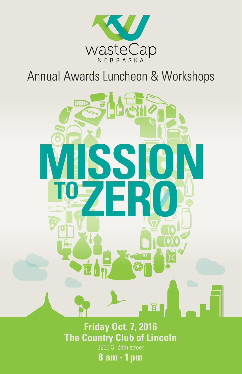

# Annual Awards Luncheon & Workshops



**Friday Oct. 7, 2016 The Country Club of Lincoln**

3200 S. 24th street

**8 am - 1pm**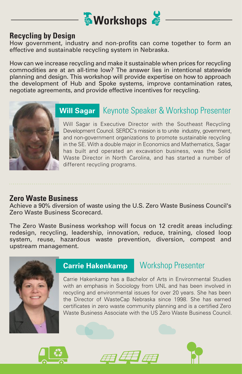

#### **Recycling by Design**

How government, industry and non-profits can come together to form an effective and sustainable recycling system in Nebraska.

How can we increase recycling and make it sustainable when prices for recycling commodities are at an all-time low? The answer lies in intentional statewide planning and design. This workshop will provide expertise on how to approach the development of Hub and Spoke systems, improve contamination rates, negotiate agreements, and provide effective incentives for recycling.



### **Will Sagar** Keynote Speaker & Workshop Presenter

Will Sagar is Executive Director with the Southeast Recycling Development Council. SERDC's mission is to unite industry, government , and non-government organizations to promote sustainable recycling in the SE. With a double major in Economics and Mathematics, Sagar has built and operated an excavation business, was the Solid Waste Director in North Carolina, and has started a number of different recycling programs.

#### **Zero Waste Business**

Achieve a 90% diversion of waste using the U.S. Zero Waste Business Council's Zero Waste Business Scorecard.

The Zero Waste Business workshop will focus on 12 credit areas including: redesign, recycling, leadership, innovation, reduce, training, closed loop system, reuse, hazardous waste prevention, diversion, compost and upstream management.



#### **Carrie Hakenkamp** Workshop Presenter

Carrie Hakenkamp has a Bachelor of Arts in Environmental Studies with an emphasis in Sociology from UNL and has been involved in recycling and environmental issues for over 20 years. She has been the Director of WasteCap Nebraska since 1998. She has earned certificates in zero waste community planning and is a certified Zero Waste Business Associate with the US Zero Waste Business Council.





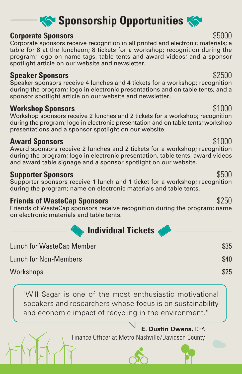## **Sponsorship Opportunities**

#### **Corporate Sponsors**  $$5000$

Corporate sponsors receive recognition in all printed and electronic materials; a table for 8 at the luncheon; 8 tickets for a workshop; recognition during the program; logo on name tags, table tents and award videos; and a sponsor spotlight article on our website and newsletter.

#### **Speaker Sponsors** \$2500

Speaker sponsors receive 4 lunches and 4 tickets for a workshop; recognition during the program; logo in electronic presentations and on table tents; and a sponsor spotlight article on our website and newsletter.

#### **Workshop Sponsors** \$1000

Workshop sponsors receive 2 lunches and 2 tickets for a workshop; recognition during the program; logo in electronic presentation and on table tents; workshop presentations and a sponsor spotlight on our website.

#### **Award Sponsors**  $$1000$

Award sponsors receive 2 lunches and 2 tickets for a workshop; recognition during the program; logo in electronic presentation, table tents, award videos and award table signage and a sponsor spotlight on our website.

### **Supporter Sponsors**  $$500$

Supporter sponsors receive 1 lunch and 1 ticket for a workshop; recognition during the program; name on electronic materials and table tents.

### **Friends of WasteCap Sponsors** \$250

Friends of WasteCap sponsors receive recognition during the program; name on electronic materials and table tents.

**Individual Tickets**

| Lunch for WasteCap Member    | \$35 |
|------------------------------|------|
| <b>Lunch for Non-Members</b> | \$40 |
| Workshops                    | \$25 |

"Will Sagar is one of the most enthusiastic motivational speakers and researchers whose focus is on sustainability and economic impact of recycling in the environment."

> **E. Dustin Owens,** DPA Finance Officer at Metro Nashville/Davidson County